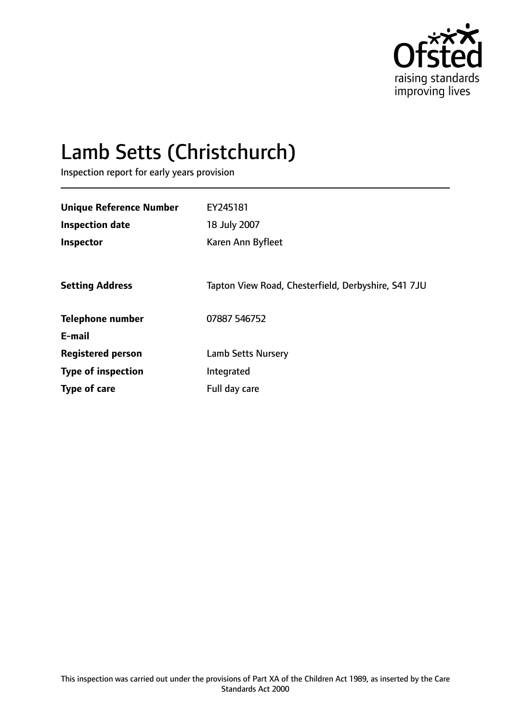

# Lamb Setts (Christchurch)

Inspection report for early years provision

| <b>Unique Reference Number</b> | EY245181                                            |
|--------------------------------|-----------------------------------------------------|
| <b>Inspection date</b>         | 18 July 2007                                        |
| Inspector                      | Karen Ann Byfleet                                   |
|                                |                                                     |
| <b>Setting Address</b>         | Tapton View Road, Chesterfield, Derbyshire, S41 7JU |
| <b>Telephone number</b>        | 07887 546752                                        |
| E-mail                         |                                                     |
| <b>Registered person</b>       | <b>Lamb Setts Nursery</b>                           |
| <b>Type of inspection</b>      | Integrated                                          |
| Type of care                   | Full day care                                       |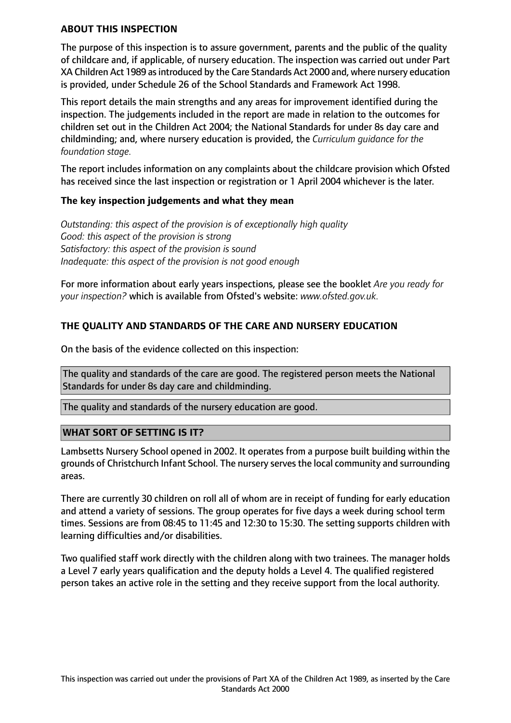#### **ABOUT THIS INSPECTION**

The purpose of this inspection is to assure government, parents and the public of the quality of childcare and, if applicable, of nursery education. The inspection was carried out under Part XA Children Act 1989 as introduced by the Care Standards Act 2000 and, where nursery education is provided, under Schedule 26 of the School Standards and Framework Act 1998.

This report details the main strengths and any areas for improvement identified during the inspection. The judgements included in the report are made in relation to the outcomes for children set out in the Children Act 2004; the National Standards for under 8s day care and childminding; and, where nursery education is provided, the *Curriculum guidance for the foundation stage.*

The report includes information on any complaints about the childcare provision which Ofsted has received since the last inspection or registration or 1 April 2004 whichever is the later.

#### **The key inspection judgements and what they mean**

*Outstanding: this aspect of the provision is of exceptionally high quality Good: this aspect of the provision is strong Satisfactory: this aspect of the provision is sound Inadequate: this aspect of the provision is not good enough*

For more information about early years inspections, please see the booklet *Are you ready for your inspection?* which is available from Ofsted's website: *www.ofsted.gov.uk.*

# **THE QUALITY AND STANDARDS OF THE CARE AND NURSERY EDUCATION**

On the basis of the evidence collected on this inspection:

The quality and standards of the care are good. The registered person meets the National Standards for under 8s day care and childminding.

The quality and standards of the nursery education are good.

#### **WHAT SORT OF SETTING IS IT?**

Lambsetts Nursery School opened in 2002. It operates from a purpose built building within the grounds of Christchurch Infant School. The nursery servesthe local community and surrounding areas.

There are currently 30 children on roll all of whom are in receipt of funding for early education and attend a variety of sessions. The group operates for five days a week during school term times. Sessions are from 08:45 to 11:45 and 12:30 to 15:30. The setting supports children with learning difficulties and/or disabilities.

Two qualified staff work directly with the children along with two trainees. The manager holds a Level 7 early years qualification and the deputy holds a Level 4. The qualified registered person takes an active role in the setting and they receive support from the local authority.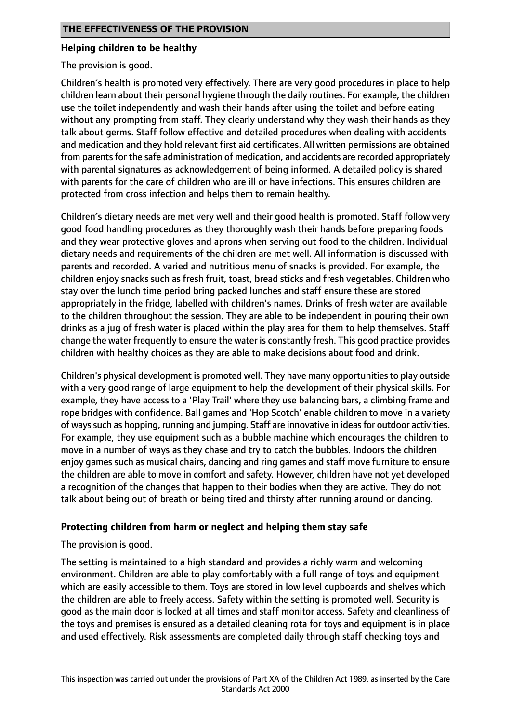## **Helping children to be healthy**

The provision is good.

Children's health is promoted very effectively. There are very good procedures in place to help children learn about their personal hygiene through the daily routines. For example, the children use the toilet independently and wash their hands after using the toilet and before eating without any prompting from staff. They clearly understand why they wash their hands as they talk about germs. Staff follow effective and detailed procedures when dealing with accidents and medication and they hold relevant first aid certificates. All written permissions are obtained from parents for the safe administration of medication, and accidents are recorded appropriately with parental signatures as acknowledgement of being informed. A detailed policy is shared with parents for the care of children who are ill or have infections. This ensures children are protected from cross infection and helps them to remain healthy.

Children's dietary needs are met very well and their good health is promoted. Staff follow very good food handling procedures as they thoroughly wash their hands before preparing foods and they wear protective gloves and aprons when serving out food to the children. Individual dietary needs and requirements of the children are met well. All information is discussed with parents and recorded. A varied and nutritious menu of snacks is provided. For example, the children enjoy snacks such as fresh fruit, toast, bread sticks and fresh vegetables. Children who stay over the lunch time period bring packed lunches and staff ensure these are stored appropriately in the fridge, labelled with children's names. Drinks of fresh water are available to the children throughout the session. They are able to be independent in pouring their own drinks as a jug of fresh water is placed within the play area for them to help themselves. Staff change the water frequently to ensure the water is constantly fresh. This good practice provides children with healthy choices as they are able to make decisions about food and drink.

Children's physical development is promoted well. They have many opportunitiesto play outside with a very good range of large equipment to help the development of their physical skills. For example, they have access to a 'Play Trail' where they use balancing bars, a climbing frame and rope bridges with confidence. Ball games and 'Hop Scotch' enable children to move in a variety of ways such as hopping, running and jumping. Staff are innovative in ideas for outdoor activities. For example, they use equipment such as a bubble machine which encourages the children to move in a number of ways as they chase and try to catch the bubbles. Indoors the children enjoy games such as musical chairs, dancing and ring games and staff move furniture to ensure the children are able to move in comfort and safety. However, children have not yet developed a recognition of the changes that happen to their bodies when they are active. They do not talk about being out of breath or being tired and thirsty after running around or dancing.

## **Protecting children from harm or neglect and helping them stay safe**

The provision is good.

The setting is maintained to a high standard and provides a richly warm and welcoming environment. Children are able to play comfortably with a full range of toys and equipment which are easily accessible to them. Toys are stored in low level cupboards and shelves which the children are able to freely access. Safety within the setting is promoted well. Security is good as the main door is locked at all times and staff monitor access. Safety and cleanliness of the toys and premises is ensured as a detailed cleaning rota for toys and equipment is in place and used effectively. Risk assessments are completed daily through staff checking toys and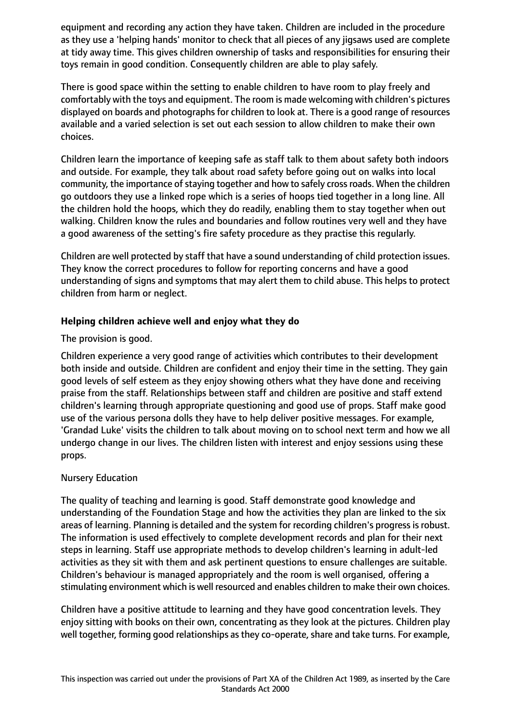equipment and recording any action they have taken. Children are included in the procedure as they use a 'helping hands' monitor to check that all pieces of any jigsaws used are complete at tidy away time. This gives children ownership of tasks and responsibilities for ensuring their toys remain in good condition. Consequently children are able to play safely.

There is good space within the setting to enable children to have room to play freely and comfortably with the toys and equipment. The room is made welcoming with children's pictures displayed on boards and photographs for children to look at. There is a good range of resources available and a varied selection is set out each session to allow children to make their own choices.

Children learn the importance of keeping safe as staff talk to them about safety both indoors and outside. For example, they talk about road safety before going out on walks into local community, the importance of staying together and how to safely cross roads. When the children go outdoors they use a linked rope which is a series of hoops tied together in a long line. All the children hold the hoops, which they do readily, enabling them to stay together when out walking. Children know the rules and boundaries and follow routines very well and they have a good awareness of the setting's fire safety procedure as they practise this regularly.

Children are well protected by staff that have a sound understanding of child protection issues. They know the correct procedures to follow for reporting concerns and have a good understanding of signs and symptoms that may alert them to child abuse. This helps to protect children from harm or neglect.

# **Helping children achieve well and enjoy what they do**

The provision is good.

Children experience a very good range of activities which contributes to their development both inside and outside. Children are confident and enjoy their time in the setting. They gain good levels of self esteem as they enjoy showing others what they have done and receiving praise from the staff. Relationships between staff and children are positive and staff extend children's learning through appropriate questioning and good use of props. Staff make good use of the various persona dolls they have to help deliver positive messages. For example, 'Grandad Luke' visits the children to talk about moving on to school next term and how we all undergo change in our lives. The children listen with interest and enjoy sessions using these props.

# Nursery Education

The quality of teaching and learning is good. Staff demonstrate good knowledge and understanding of the Foundation Stage and how the activities they plan are linked to the six areas of learning. Planning is detailed and the system for recording children's progress is robust. The information is used effectively to complete development records and plan for their next steps in learning. Staff use appropriate methods to develop children's learning in adult-led activities as they sit with them and ask pertinent questions to ensure challenges are suitable. Children's behaviour is managed appropriately and the room is well organised, offering a stimulating environment which is well resourced and enables children to make their own choices.

Children have a positive attitude to learning and they have good concentration levels. They enjoy sitting with books on their own, concentrating as they look at the pictures. Children play well together, forming good relationships as they co-operate, share and take turns. For example,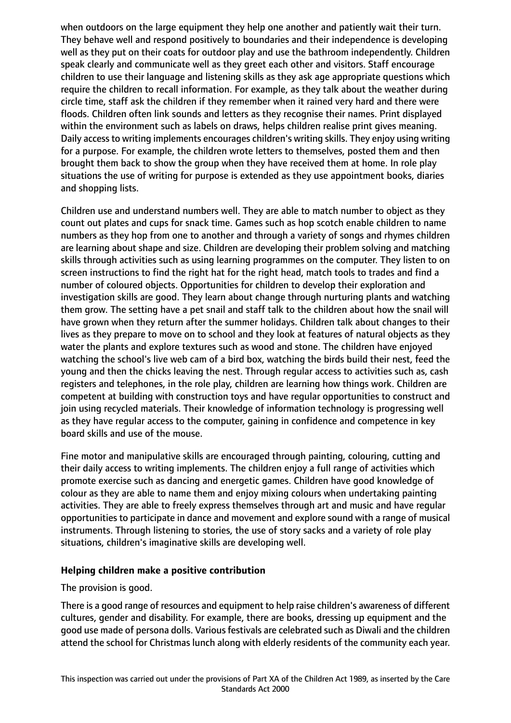when outdoors on the large equipment they help one another and patiently wait their turn. They behave well and respond positively to boundaries and their independence is developing well as they put on their coats for outdoor play and use the bathroom independently. Children speak clearly and communicate well as they greet each other and visitors. Staff encourage children to use their language and listening skills as they ask age appropriate questions which require the children to recall information. For example, as they talk about the weather during circle time, staff ask the children if they remember when it rained very hard and there were floods. Children often link sounds and letters as they recognise their names. Print displayed within the environment such as labels on draws, helps children realise print gives meaning. Daily access to writing implements encourages children's writing skills. They enjoy using writing for a purpose. For example, the children wrote letters to themselves, posted them and then brought them back to show the group when they have received them at home. In role play situations the use of writing for purpose is extended as they use appointment books, diaries and shopping lists.

Children use and understand numbers well. They are able to match number to object as they count out plates and cups for snack time. Games such as hop scotch enable children to name numbers as they hop from one to another and through a variety of songs and rhymes children are learning about shape and size. Children are developing their problem solving and matching skills through activities such as using learning programmes on the computer. They listen to on screen instructions to find the right hat for the right head, match tools to trades and find a number of coloured objects. Opportunities for children to develop their exploration and investigation skills are good. They learn about change through nurturing plants and watching them grow. The setting have a pet snail and staff talk to the children about how the snail will have grown when they return after the summer holidays. Children talk about changes to their lives as they prepare to move on to school and they look at features of natural objects as they water the plants and explore textures such as wood and stone. The children have enjoyed watching the school's live web cam of a bird box, watching the birds build their nest, feed the young and then the chicks leaving the nest. Through regular access to activities such as, cash registers and telephones, in the role play, children are learning how things work. Children are competent at building with construction toys and have regular opportunities to construct and join using recycled materials. Their knowledge of information technology is progressing well as they have regular access to the computer, gaining in confidence and competence in key board skills and use of the mouse.

Fine motor and manipulative skills are encouraged through painting, colouring, cutting and their daily access to writing implements. The children enjoy a full range of activities which promote exercise such as dancing and energetic games. Children have good knowledge of colour as they are able to name them and enjoy mixing colours when undertaking painting activities. They are able to freely express themselves through art and music and have regular opportunities to participate in dance and movement and explore sound with a range of musical instruments. Through listening to stories, the use of story sacks and a variety of role play situations, children's imaginative skills are developing well.

## **Helping children make a positive contribution**

## The provision is good.

There is a good range of resources and equipment to help raise children's awareness of different cultures, gender and disability. For example, there are books, dressing up equipment and the good use made of persona dolls. Various festivals are celebrated such as Diwali and the children attend the school for Christmas lunch along with elderly residents of the community each year.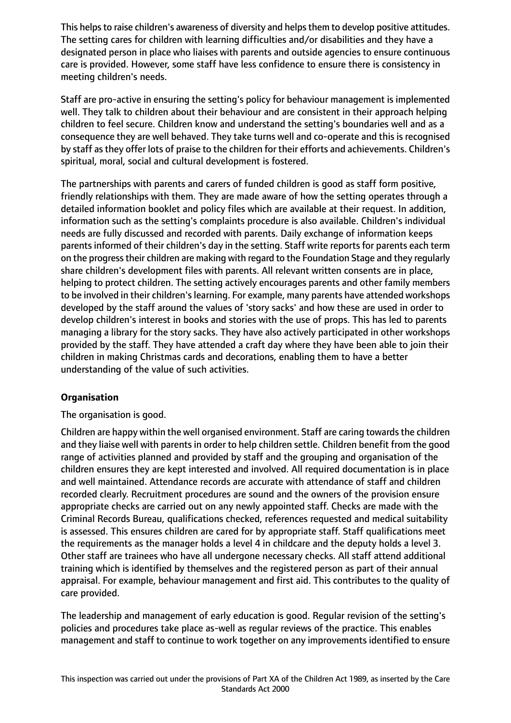This helps to raise children's awareness of diversity and helps them to develop positive attitudes. The setting cares for children with learning difficulties and/or disabilities and they have a designated person in place who liaises with parents and outside agencies to ensure continuous care is provided. However, some staff have less confidence to ensure there is consistency in meeting children's needs.

Staff are pro-active in ensuring the setting's policy for behaviour management is implemented well. They talk to children about their behaviour and are consistent in their approach helping children to feel secure. Children know and understand the setting's boundaries well and as a consequence they are well behaved. They take turns well and co-operate and this is recognised by staff as they offer lots of praise to the children for their efforts and achievements. Children's spiritual, moral, social and cultural development is fostered.

The partnerships with parents and carers of funded children is good as staff form positive, friendly relationships with them. They are made aware of how the setting operates through a detailed information booklet and policy files which are available at their request. In addition, information such as the setting's complaints procedure is also available. Children's individual needs are fully discussed and recorded with parents. Daily exchange of information keeps parents informed of their children's day in the setting. Staff write reports for parents each term on the progress their children are making with regard to the Foundation Stage and they regularly share children's development files with parents. All relevant written consents are in place, helping to protect children. The setting actively encourages parents and other family members to be involved in their children's learning. For example, many parents have attended workshops developed by the staff around the values of 'story sacks' and how these are used in order to develop children's interest in books and stories with the use of props. This has led to parents managing a library for the story sacks. They have also actively participated in other workshops provided by the staff. They have attended a craft day where they have been able to join their children in making Christmas cards and decorations, enabling them to have a better understanding of the value of such activities.

# **Organisation**

The organisation is good.

Children are happy within the well organised environment. Staff are caring towards the children and they liaise well with parents in order to help children settle. Children benefit from the good range of activities planned and provided by staff and the grouping and organisation of the children ensures they are kept interested and involved. All required documentation is in place and well maintained. Attendance records are accurate with attendance of staff and children recorded clearly. Recruitment procedures are sound and the owners of the provision ensure appropriate checks are carried out on any newly appointed staff. Checks are made with the Criminal Records Bureau, qualifications checked, references requested and medical suitability is assessed. This ensures children are cared for by appropriate staff. Staff qualifications meet the requirements as the manager holds a level 4 in childcare and the deputy holds a level 3. Other staff are trainees who have all undergone necessary checks. All staff attend additional training which is identified by themselves and the registered person as part of their annual appraisal. For example, behaviour management and first aid. This contributes to the quality of care provided.

The leadership and management of early education is good. Regular revision of the setting's policies and procedures take place as-well as regular reviews of the practice. This enables management and staff to continue to work together on any improvements identified to ensure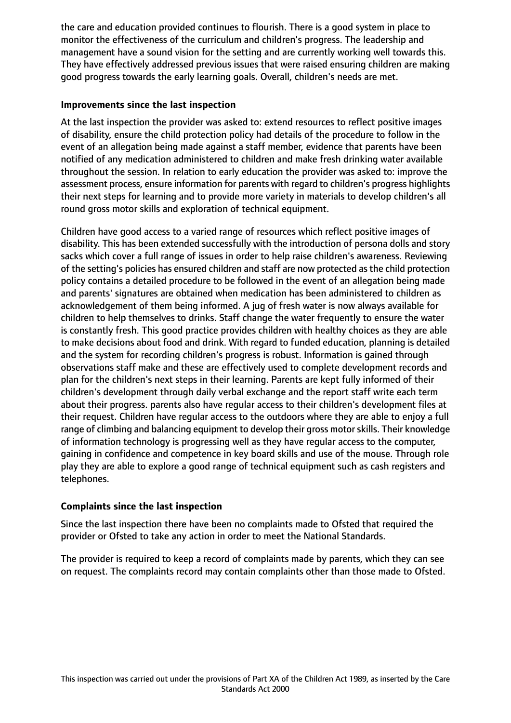the care and education provided continues to flourish. There is a good system in place to monitor the effectiveness of the curriculum and children's progress. The leadership and management have a sound vision for the setting and are currently working well towards this. They have effectively addressed previous issues that were raised ensuring children are making good progress towards the early learning goals. Overall, children's needs are met.

## **Improvements since the last inspection**

At the last inspection the provider was asked to: extend resources to reflect positive images of disability, ensure the child protection policy had details of the procedure to follow in the event of an allegation being made against a staff member, evidence that parents have been notified of any medication administered to children and make fresh drinking water available throughout the session. In relation to early education the provider was asked to: improve the assessment process, ensure information for parents with regard to children's progress highlights their next steps for learning and to provide more variety in materials to develop children's all round gross motor skills and exploration of technical equipment.

Children have good access to a varied range of resources which reflect positive images of disability. This has been extended successfully with the introduction of persona dolls and story sacks which cover a full range of issues in order to help raise children's awareness. Reviewing of the setting's policies has ensured children and staff are now protected as the child protection policy contains a detailed procedure to be followed in the event of an allegation being made and parents' signatures are obtained when medication has been administered to children as acknowledgement of them being informed. A jug of fresh water is now always available for children to help themselves to drinks. Staff change the water frequently to ensure the water is constantly fresh. This good practice provides children with healthy choices as they are able to make decisions about food and drink. With regard to funded education, planning is detailed and the system for recording children's progress is robust. Information is gained through observations staff make and these are effectively used to complete development records and plan for the children's next steps in their learning. Parents are kept fully informed of their children's development through daily verbal exchange and the report staff write each term about their progress. parents also have regular access to their children's development files at their request. Children have regular access to the outdoors where they are able to enjoy a full range of climbing and balancing equipment to develop their gross motorskills. Their knowledge of information technology is progressing well as they have regular access to the computer, gaining in confidence and competence in key board skills and use of the mouse. Through role play they are able to explore a good range of technical equipment such as cash registers and telephones.

# **Complaints since the last inspection**

Since the last inspection there have been no complaints made to Ofsted that required the provider or Ofsted to take any action in order to meet the National Standards.

The provider is required to keep a record of complaints made by parents, which they can see on request. The complaints record may contain complaints other than those made to Ofsted.